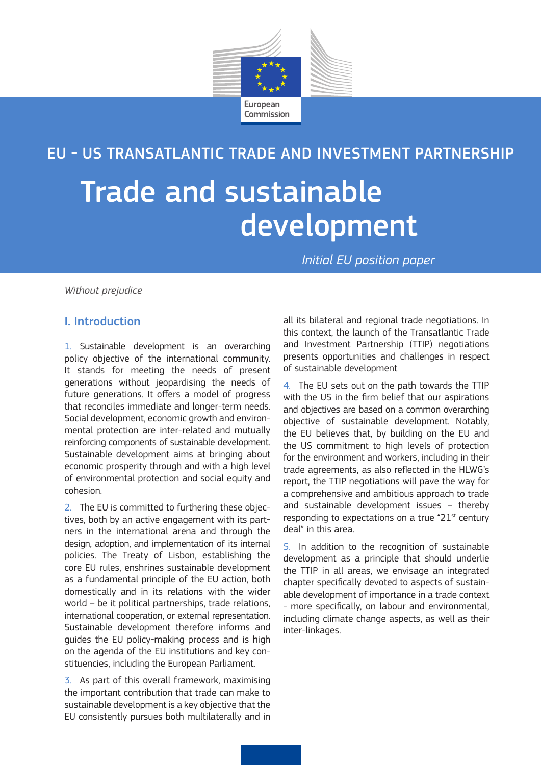

# EU - US TRANSATLANTIC TRADE AND INVESTMENT PARTNERSHIP

# Trade and sustainable development

*Initial EU position paper*

*Without prejudice*

# I. Introduction

1. Sustainable development is an overarching policy objective of the international community. It stands for meeting the needs of present generations without jeopardising the needs of future generations. It offers a model of progress that reconciles immediate and longer-term needs. Social development, economic growth and environmental protection are inter-related and mutually reinforcing components of sustainable development. Sustainable development aims at bringing about economic prosperity through and with a high level of environmental protection and social equity and cohesion.

2. The EU is committed to furthering these objectives, both by an active engagement with its partners in the international arena and through the design, adoption, and implementation of its internal policies. The Treaty of Lisbon, establishing the core EU rules, enshrines sustainable development as a fundamental principle of the EU action, both domestically and in its relations with the wider world – be it political partnerships, trade relations, international cooperation, or external representation. Sustainable development therefore informs and guides the EU policy-making process and is high on the agenda of the EU institutions and key constituencies, including the European Parliament.

3. As part of this overall framework, maximising the important contribution that trade can make to sustainable development is a key objective that the EU consistently pursues both multilaterally and in

all its bilateral and regional trade negotiations. In this context, the launch of the Transatlantic Trade and Investment Partnership (TTIP) negotiations presents opportunities and challenges in respect of sustainable development

4. The EU sets out on the path towards the TTIP with the US in the firm belief that our aspirations and objectives are based on a common overarching objective of sustainable development. Notably, the EU believes that, by building on the EU and the US commitment to high levels of protection for the environment and workers, including in their trade agreements, as also reflected in the HLWG's report, the TTIP negotiations will pave the way for a comprehensive and ambitious approach to trade and sustainable development issues – thereby responding to expectations on a true "21 $st$  century deal" in this area.

5. In addition to the recognition of sustainable development as a principle that should underlie the TTIP in all areas, we envisage an integrated chapter specifically devoted to aspects of sustainable development of importance in a trade context - more specifically, on labour and environmental, including climate change aspects, as well as their inter-linkages.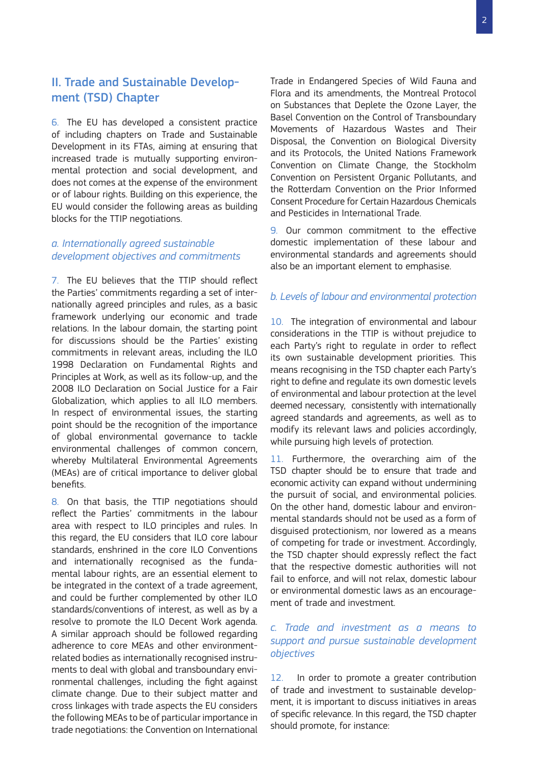# II. Trade and Sustainable Development (TSD) Chapter

6. The EU has developed a consistent practice of including chapters on Trade and Sustainable Development in its FTAs, aiming at ensuring that increased trade is mutually supporting environmental protection and social development, and does not comes at the expense of the environment or of labour rights. Building on this experience, the EU would consider the following areas as building blocks for the TTIP negotiations.

### *a. Internationally agreed sustainable development objectives and commitments*

7. The EU believes that the TTIP should reflect the Parties' commitments regarding a set of internationally agreed principles and rules, as a basic framework underlying our economic and trade relations. In the labour domain, the starting point for discussions should be the Parties' existing commitments in relevant areas, including the ILO 1998 Declaration on Fundamental Rights and Principles at Work, as well as its follow-up, and the 2008 ILO Declaration on Social Justice for a Fair Globalization, which applies to all ILO members. In respect of environmental issues, the starting point should be the recognition of the importance of global environmental governance to tackle environmental challenges of common concern, whereby Multilateral Environmental Agreements (MEAs) are of critical importance to deliver global benefits.

8. On that basis, the TTIP negotiations should reflect the Parties' commitments in the labour area with respect to ILO principles and rules. In this regard, the EU considers that ILO core labour standards, enshrined in the core ILO Conventions and internationally recognised as the fundamental labour rights, are an essential element to be integrated in the context of a trade agreement, and could be further complemented by other ILO standards/conventions of interest, as well as by a resolve to promote the ILO Decent Work agenda. A similar approach should be followed regarding adherence to core MEAs and other environmentrelated bodies as internationally recognised instruments to deal with global and transboundary environmental challenges, including the fight against climate change. Due to their subject matter and cross linkages with trade aspects the EU considers the following MEAs to be of particular importance in trade negotiations: the Convention on International

Trade in Endangered Species of Wild Fauna and Flora and its amendments, the Montreal Protocol on Substances that Deplete the Ozone Layer, the Basel Convention on the Control of Transboundary Movements of Hazardous Wastes and Their Disposal, the Convention on Biological Diversity and its Protocols, the United Nations Framework Convention on Climate Change, the Stockholm Convention on Persistent Organic Pollutants, and the Rotterdam Convention on the Prior Informed Consent Procedure for Certain Hazardous Chemicals and Pesticides in International Trade.

9. Our common commitment to the effective domestic implementation of these labour and environmental standards and agreements should also be an important element to emphasise.

#### *b. Levels of labour and environmental protection*

10. The integration of environmental and labour considerations in the TTIP is without prejudice to each Party's right to regulate in order to reflect its own sustainable development priorities. This means recognising in the TSD chapter each Party's right to define and regulate its own domestic levels of environmental and labour protection at the level deemed necessary, consistently with internationally agreed standards and agreements, as well as to modify its relevant laws and policies accordingly, while pursuing high levels of protection.

11. Furthermore, the overarching aim of the TSD chapter should be to ensure that trade and economic activity can expand without undermining the pursuit of social, and environmental policies. On the other hand, domestic labour and environmental standards should not be used as a form of disguised protectionism, nor lowered as a means of competing for trade or investment. Accordingly, the TSD chapter should expressly reflect the fact that the respective domestic authorities will not fail to enforce, and will not relax, domestic labour or environmental domestic laws as an encouragement of trade and investment.

## *c. Trade and investment as a means to support and pursue sustainable development objectives*

12. In order to promote a greater contribution of trade and investment to sustainable development, it is important to discuss initiatives in areas of specific relevance. In this regard, the TSD chapter should promote, for instance: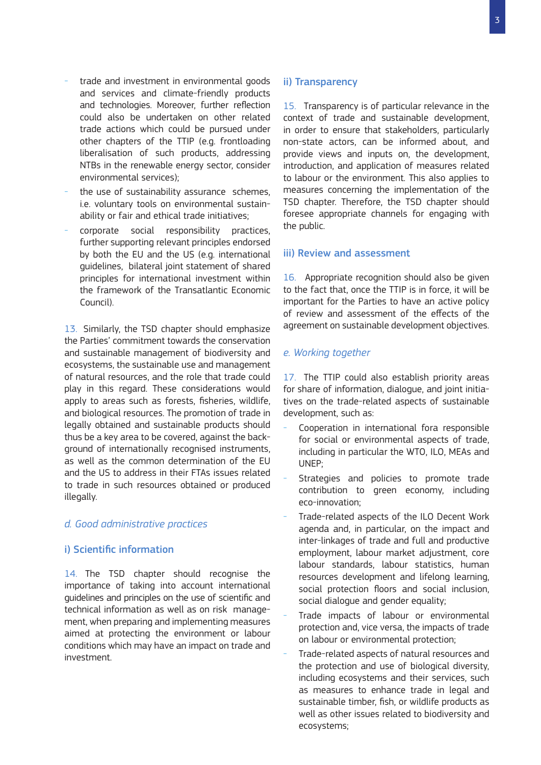- trade and investment in environmental goods and services and climate-friendly products and technologies. Moreover, further reflection could also be undertaken on other related trade actions which could be pursued under other chapters of the TTIP (e.g. frontloading liberalisation of such products, addressing NTBs in the renewable energy sector, consider environmental services);
- the use of sustainability assurance schemes, i.e. voluntary tools on environmental sustainability or fair and ethical trade initiatives;
- corporate social responsibility practices, further supporting relevant principles endorsed by both the EU and the US (e.g. international guidelines, bilateral joint statement of shared principles for international investment within the framework of the Transatlantic Economic Council).

13. Similarly, the TSD chapter should emphasize the Parties' commitment towards the conservation and sustainable management of biodiversity and ecosystems, the sustainable use and management of natural resources, and the role that trade could play in this regard. These considerations would apply to areas such as forests, fisheries, wildlife, and biological resources. The promotion of trade in legally obtained and sustainable products should thus be a key area to be covered, against the background of internationally recognised instruments, as well as the common determination of the EU and the US to address in their FTAs issues related to trade in such resources obtained or produced illegally.

#### *d. Good administrative practices*

#### i) Scientific information

14. The TSD chapter should recognise the importance of taking into account international guidelines and principles on the use of scientific and technical information as well as on risk management, when preparing and implementing measures aimed at protecting the environment or labour conditions which may have an impact on trade and investment.

#### ii) Transparency

15. Transparency is of particular relevance in the context of trade and sustainable development, in order to ensure that stakeholders, particularly non-state actors, can be informed about, and provide views and inputs on, the development, introduction, and application of measures related to labour or the environment. This also applies to measures concerning the implementation of the TSD chapter. Therefore, the TSD chapter should foresee appropriate channels for engaging with the public.

#### iii) Review and assessment

16. Appropriate recognition should also be given to the fact that, once the TTIP is in force, it will be important for the Parties to have an active policy of review and assessment of the effects of the agreement on sustainable development objectives.

#### *e. Working together*

17. The TTIP could also establish priority areas for share of information, dialogue, and joint initiatives on the trade-related aspects of sustainable development, such as:

- Cooperation in international fora responsible for social or environmental aspects of trade, including in particular the WTO, ILO, MEAs and UNEP;
- Strategies and policies to promote trade contribution to green economy, including eco-innovation;
- Trade-related aspects of the ILO Decent Work agenda and, in particular, on the impact and inter-linkages of trade and full and productive employment, labour market adjustment, core labour standards, labour statistics, human resources development and lifelong learning, social protection floors and social inclusion, social dialogue and gender equality;
- Trade impacts of labour or environmental protection and, vice versa, the impacts of trade on labour or environmental protection;
- Trade-related aspects of natural resources and the protection and use of biological diversity, including ecosystems and their services, such as measures to enhance trade in legal and sustainable timber, fish, or wildlife products as well as other issues related to biodiversity and ecosystems;